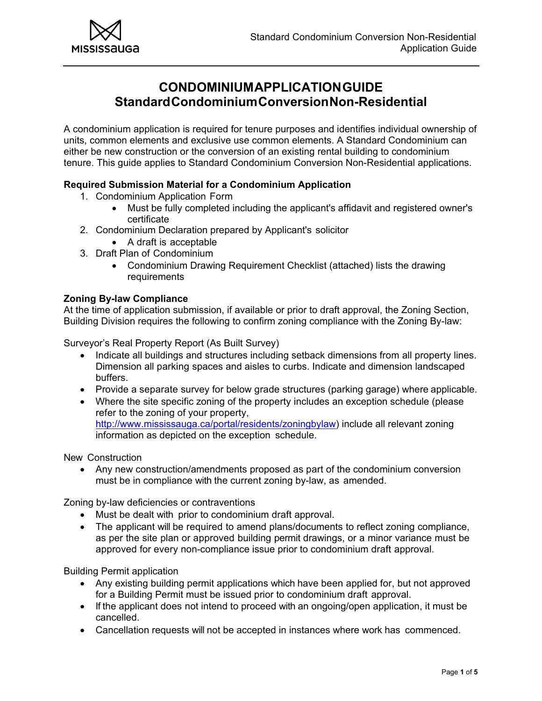

# **CONDOMINIUM APPLICATION GUIDE Standard Condominium Conversion Non-Residential**

A condominium application is required for tenure purposes and identifies individual ownership of units, common elements and exclusive use common elements. A Standard Condominium can either be new construction or the conversion of an existing rental building to condominium tenure. This guide applies to Standard Condominium Conversion Non-Residential applications.

## **Required Submission Material for a Condominium Application**

- 1. Condominium Application Form
	- Must be fully completed including the applicant's affidavit and registered owner's certificate
- 2. Condominium Declaration prepared by Applicant's solicitor
	- A draft is acceptable
- 3. Draft Plan of Condominium
	- Condominium Drawing Requirement Checklist (attached) lists the drawing requirements

## **Zoning By-law Compliance**

At the time of application submission, if available or prior to draft approval, the Zoning Section, Building Division requires the following to confirm zoning compliance with the Zoning By-law:

Surveyor's Real Property Report (As Built Survey)

- Indicate all buildings and structures including setback dimensions from all property lines. Dimension all parking spaces and aisles to curbs. Indicate and dimension landscaped buffers.
- Provide a separate survey for below grade structures (parking garage) where applicable.
- Where the site specific zoning of the property includes an exception schedule (please refer to the zoning of your property, http://www.mississauga.ca/portal/residents/zoningbylaw) include all relevant zoning information as depicted on the exception schedule.

New Construction

 Any new construction/amendments proposed as part of the condominium conversion must be in compliance with the current zoning by-law, as amended.

Zoning by-law deficiencies or contraventions

- Must be dealt with prior to condominium draft approval.
- The applicant will be required to amend plans/documents to reflect zoning compliance, as per the site plan or approved building permit drawings, or a minor variance must be approved for every non-compliance issue prior to condominium draft approval.

Building Permit application

- Any existing building permit applications which have been applied for, but not approved for a Building Permit must be issued prior to condominium draft approval.
- If the applicant does not intend to proceed with an ongoing/open application, it must be cancelled.
- Cancellation requests will not be accepted in instances where work has commenced.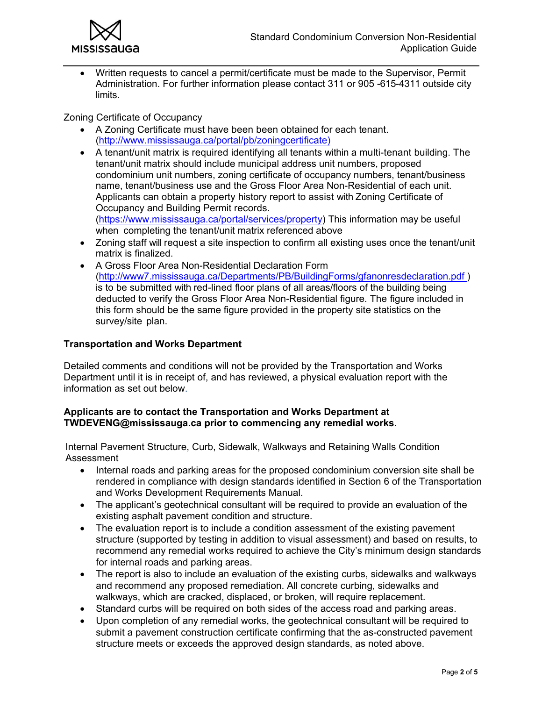

 Written requests to cancel a permit/certificate must be made to the Supervisor, Permit Administration. For further information please contact 311 or 905 -615-4311 outside city limits.

#### Zoning Certificate of Occupancy

- A Zoning Certificate must have been been obtained for each tenant. (http://www.mississauga.ca/portal/pb/zoningcertificate)
- A tenant/unit matrix is required identifying all tenants within a multi-tenant building. The tenant/unit matrix should include municipal address unit numbers, proposed condominium unit numbers, zoning certificate of occupancy numbers, tenant/business name, tenant/business use and the Gross Floor Area Non-Residential of each unit. Applicants can obtain a property history report to assist with Zoning Certificate of Occupancy and Building Permit records.

(https://www.mississauga.ca/portal/services/property) This information may be useful when completing the tenant/unit matrix referenced above

- Zoning staff will request a site inspection to confirm all existing uses once the tenant/unit matrix is finalized.
- A Gross Floor Area Non-Residential Declaration Form (http://www7.mississauga.ca/Departments/PB/BuildingForms/gfanonresdeclaration.pdf ) is to be submitted with red-lined floor plans of all areas/floors of the building being deducted to verify the Gross Floor Area Non-Residential figure. The figure included in this form should be the same figure provided in the property site statistics on the survey/site plan.

#### **Transportation and Works Department**

Detailed comments and conditions will not be provided by the Transportation and Works Department until it is in receipt of, and has reviewed, a physical evaluation report with the information as set out below.

#### **Applicants are to contact the Transportation and Works Department at TWDEVENG@mississauga.ca prior to commencing any remedial works.**

Internal Pavement Structure, Curb, Sidewalk, Walkways and Retaining Walls Condition Assessment

- Internal roads and parking areas for the proposed condominium conversion site shall be rendered in compliance with design standards identified in Section 6 of the Transportation and Works Development Requirements Manual.
- The applicant's geotechnical consultant will be required to provide an evaluation of the existing asphalt pavement condition and structure.
- The evaluation report is to include a condition assessment of the existing pavement structure (supported by testing in addition to visual assessment) and based on results, to recommend any remedial works required to achieve the City's minimum design standards for internal roads and parking areas.
- The report is also to include an evaluation of the existing curbs, sidewalks and walkways and recommend any proposed remediation. All concrete curbing, sidewalks and walkways, which are cracked, displaced, or broken, will require replacement.
- Standard curbs will be required on both sides of the access road and parking areas.
- Upon completion of any remedial works, the geotechnical consultant will be required to submit a pavement construction certificate confirming that the as-constructed pavement structure meets or exceeds the approved design standards, as noted above.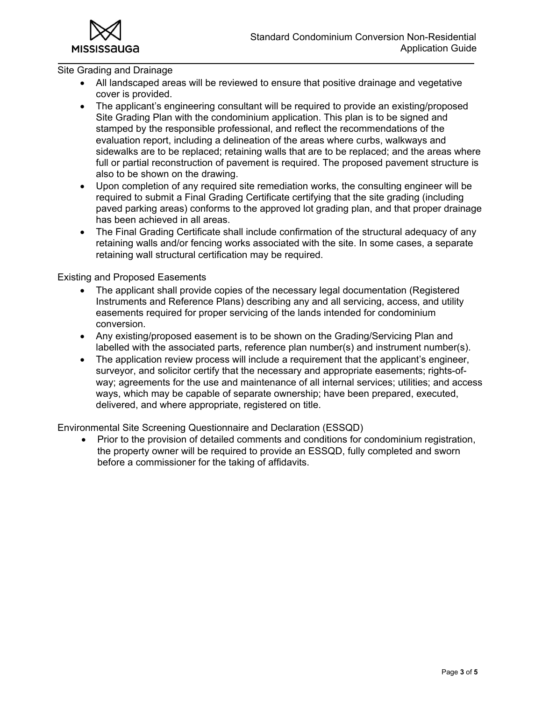

Site Grading and Drainage

- All landscaped areas will be reviewed to ensure that positive drainage and vegetative cover is provided.
- The applicant's engineering consultant will be required to provide an existing/proposed Site Grading Plan with the condominium application. This plan is to be signed and stamped by the responsible professional, and reflect the recommendations of the evaluation report, including a delineation of the areas where curbs, walkways and sidewalks are to be replaced; retaining walls that are to be replaced; and the areas where full or partial reconstruction of pavement is required. The proposed pavement structure is also to be shown on the drawing.
- Upon completion of any required site remediation works, the consulting engineer will be required to submit a Final Grading Certificate certifying that the site grading (including paved parking areas) conforms to the approved lot grading plan, and that proper drainage has been achieved in all areas.
- The Final Grading Certificate shall include confirmation of the structural adequacy of any retaining walls and/or fencing works associated with the site. In some cases, a separate retaining wall structural certification may be required.

Existing and Proposed Easements

- The applicant shall provide copies of the necessary legal documentation (Registered Instruments and Reference Plans) describing any and all servicing, access, and utility easements required for proper servicing of the lands intended for condominium conversion.
- Any existing/proposed easement is to be shown on the Grading/Servicing Plan and labelled with the associated parts, reference plan number(s) and instrument number(s).
- The application review process will include a requirement that the applicant's engineer, surveyor, and solicitor certify that the necessary and appropriate easements; rights-ofway; agreements for the use and maintenance of all internal services; utilities; and access ways, which may be capable of separate ownership; have been prepared, executed, delivered, and where appropriate, registered on title.

Environmental Site Screening Questionnaire and Declaration (ESSQD)

 Prior to the provision of detailed comments and conditions for condominium registration, the property owner will be required to provide an ESSQD, fully completed and sworn before a commissioner for the taking of affidavits.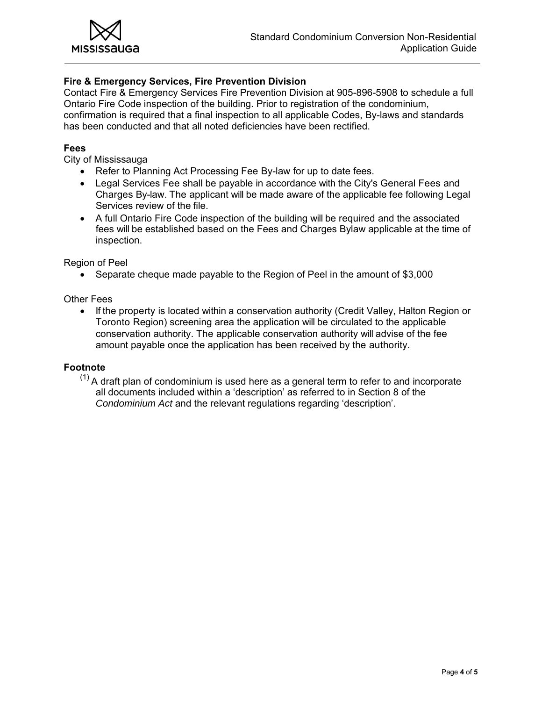

## **Fire & Emergency Services, Fire Prevention Division**

Contact Fire & Emergency Services Fire Prevention Division at 905-896-5908 to schedule a full Ontario Fire Code inspection of the building. Prior to registration of the condominium, confirmation is required that a final inspection to all applicable Codes, By-laws and standards has been conducted and that all noted deficiencies have been rectified.

#### **Fees**

City of Mississauga

- Refer to Planning Act Processing Fee By-law for up to date fees.
- Legal Services Fee shall be payable in accordance with the City's General Fees and Charges By-law. The applicant will be made aware of the applicable fee following Legal Services review of the file.
- A full Ontario Fire Code inspection of the building will be required and the associated fees will be established based on the Fees and Charges Bylaw applicable at the time of inspection.

Region of Peel

Separate cheque made payable to the Region of Peel in the amount of \$3,000

#### Other Fees

• If the property is located within a conservation authority (Credit Valley, Halton Region or Toronto Region) screening area the application will be circulated to the applicable conservation authority. The applicable conservation authority will advise of the fee amount payable once the application has been received by the authority.

#### **Footnote**

 $(1)$  A draft plan of condominium is used here as a general term to refer to and incorporate all documents included within a 'description' as referred to in Section 8 of the *Condominium Act* and the relevant regulations regarding 'description'.